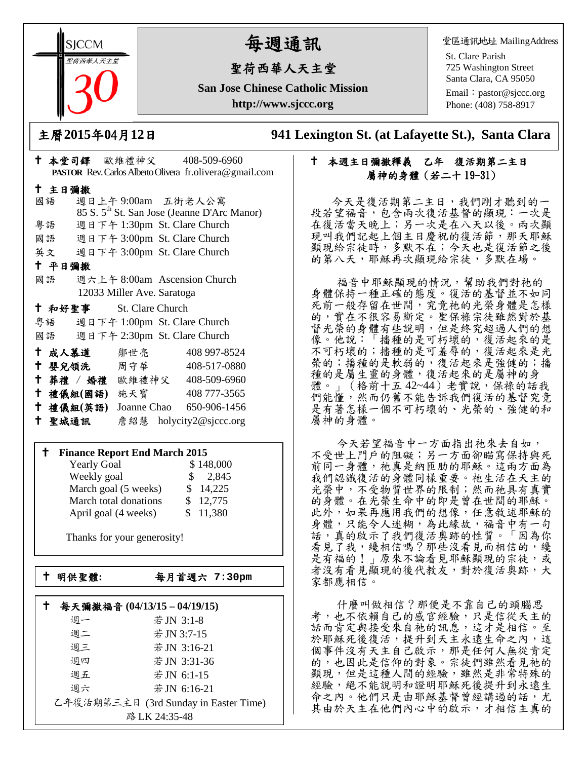**SICCM** 聖荷西華人天主堂 

# 每週通訊

# 聖荷西華人天主堂

**San Jose Chinese Catholic Mission http://www.sjccc.org**

堂區通訊地址 MailingAddress

St. Clare Parish 725 Washington Street Santa Clara, CA 95050

Email: [pastor@sjccc.org](mailto:pastor@sjccc.org) Phone: (408) 758-8917

主曆**2015**年**0**4月**12**日 **941 Lexington St. (at Lafayette St.), Santa Clara** 

# 本週主日彌撒釋義 乙年 復活期第二主日 屬神的身體(若二十 19-31)

 今天是復活期第二主日,我們剛才聽到的一 段若望福音,包含兩次復活基督的顯現:一次是 在復活當天晚上;另一次是在八天以後。兩次顯 現叫我們記起上個主日慶祝的復活節,那天耶穌 顯現給宗徒時,多默不在;今天也是復活節之後 的第八天,耶穌再次顯現給宗徒,多默在場。

福音中耶穌顯現的情況,幫助我們對祂的 身體保持一種正確的態度。復活的基督並不如同 死前一般存留在世間,究竟祂的光榮身體是怎樣 的,實在不很容易斷定。聖保祿宗徒雖然對於基 督光榮的身體有些說明,但是終究超過人們的想 像。他說:「播種的是可朽壞的, 復活起來的是 不可朽壞的;播種的是可羞辱的,復活起來是光 榮的;播種的是軟弱的,復活起來是強健的;播 種的是屬生靈的身體,復活起來的是屬神的身 體。」(格前十五42~44)老實說,保祿的話我 們能懂,然而仍舊不能告訴我們復活的基督究竟 是有著怎樣一個不可朽壞的、光榮的、強健的和 屬神的身體。

 今天若望福音中一方面指出祂來去自如, 不受世上門戶的阻礙;另一方面卻瞄寫保持與死 前同一身體,祂真是納匝肋的耶穌。這兩方面為 我們認識復活的身體同樣重要。祂生活在天主的 光榮中,不受物質世界的限制;然而祂具有真實 的身體。在光榮生命中的即是曾在世間的耶穌。 此外,如果再應用我們的想像,任意敘述耶穌的 身體,只能令人迷糊,為此緣故,福音中有一句 話,真的啟示了我們復活奧跡的性質。「因為你 看見了我,纔相信嗎?那些沒看見而相信的,纔 是有福的!」原來不論看見耶穌顯現的宗徒,或 者沒有看見顯現的後代教友,對於復活奧跡,大 家都應相信。

 什麼叫做相信?那便是不靠自己的頭腦思 考,也不依賴自己的感官經驗,只是信從天主的 話而肯定與接受來自祂的訊息,這才是相信。至 於耶穌死後復活,提升到天主永遠生命之內,這 個事件沒有天主自己啟示,那是任何人無從肯定 的,也因此是信仰的對象。宗徒們雖然看見祂的 顯現,但是這種人間的經驗,雖然是非常特殊的 經驗,絕不能說明和證明耶穌死後提升到永遠生 命之內。他們只是由耶穌基督曾經講過的話,尤 其由於天主在他們內心中的啟示,才相信主真的

|   | 十 主日彌撒 |                                    |                            |                                                         |
|---|--------|------------------------------------|----------------------------|---------------------------------------------------------|
|   | 國語     |                                    |                            | 週日上午9:00am 五街老人公寓                                       |
|   |        |                                    |                            | 85 S. 5 <sup>th</sup> St. San Jose (Jeanne D'Arc Manor) |
|   | 粤語     |                                    |                            | 週日下午 1:30pm St. Clare Church                            |
|   | 國語     |                                    |                            | 週日下午 3:00pm St. Clare Church                            |
|   |        |                                    |                            | 英文 週日下午 3:00pm St. Clare Church                         |
|   | 十 平日彌撒 |                                    |                            |                                                         |
|   | 國語     |                                    |                            | 週六上午 8:00am Ascension Church                            |
|   |        |                                    | 12033 Miller Ave. Saratoga |                                                         |
|   |        |                                    |                            |                                                         |
|   |        | <sup>†</sup> 和好聖事 St. Clare Church |                            |                                                         |
|   |        |                                    |                            | 粤語 週日下午 1:00pm St. Clare Church                         |
|   | 國語     |                                    |                            | 週日下午 2:30pm St. Clare Church                            |
|   |        | 十 成人慕道                             | 鄒世亮                        | 408 997-8524                                            |
| t |        | 婴兒領洗 周守華                           |                            | 408-517-0880                                            |
|   |        |                                    |                            | † 葬禮 / 婚禮 歐維禮神父 408-509-6960                            |
|   |        | 十 禮儀組(國語) 施天寶                      |                            | 408 777-3565                                            |

本堂司鐸 歐維禮神父 408-509-6960

**PASTOR** Rev. Carlos Alberto Olivera fr.olivera@gmail.com

#### **Finance Report End March 2015**

聖城通訊 詹紹慧 holycity2@sjccc.org

| <b>Yearly Goal</b>    | \$148,000              |
|-----------------------|------------------------|
| Weekly goal           | 2,845<br>$\mathcal{S}$ |
| March goal (5 weeks)  | \$14,225               |
| March total donations | \$12,775               |
| April goal (4 weeks)  | \$11,380               |

Thanks for your generosity!

└<br>├

明供聖體**:** 每月首週六 **7:30pm**

|                                                        | 每天彌撒福音 (04/13/15-04/19/15) |             |  |
|--------------------------------------------------------|----------------------------|-------------|--|
|                                                        | 週一                         | 若JN 3:1-8   |  |
|                                                        | 週二                         | 若 JN 3:7-15 |  |
|                                                        | 週三                         | 若JN 3:16-21 |  |
|                                                        | 週四                         | 若JN 3:31-36 |  |
|                                                        | 週五                         | 若JN 6:1-15  |  |
|                                                        | 週六                         | 若JN 6:16-21 |  |
| 乙年復活期第三主日 (3rd Sunday in Easter Time)<br>路 LK 24:35-48 |                            |             |  |